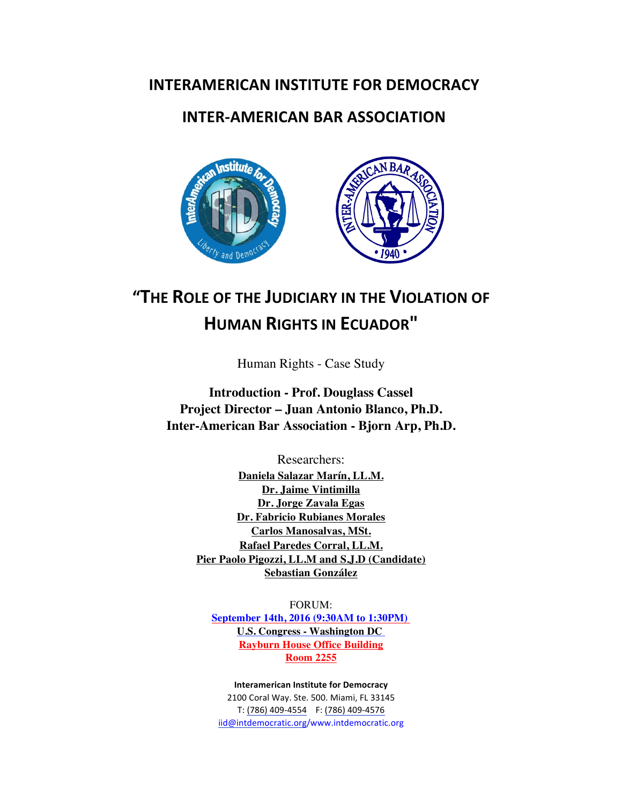## **INTERAMERICAN INSTITUTE FOR DEMOCRACY**

## **INTER-AMERICAN BAR ASSOCIATION**



# **"THE ROLE OF THE JUDICIARY IN THE VIOLATION OF HUMAN RIGHTS IN ECUADOR"**

Human Rights - Case Study

**Introduction - Prof. Douglass Cassel Project Director – Juan Antonio Blanco, Ph.D. Inter-American Bar Association - Bjorn Arp, Ph.D.**

> Researchers: **Daniela Salazar Marín, LL.M. Dr. Jaime Vintimilla Dr. Jorge Zavala Egas Dr. Fabricio Rubianes Morales Carlos Manosalvas, MSt. Rafael Paredes Corral, LL.M. Pier Paolo Pigozzi, LL.M and S.J.D (Candidate) Sebastian González**

FORUM: **September 14th, 2016 (9:30AM to 1:30PM) U.S. Congress - Washington DC Rayburn House Office Building Room 2255**

**Interamerican Institute for Democracy** 2100 Coral Way. Ste. 500. Miami, FL 33145 T: (786) 409-4554 F: (786) 409-4576 iid@intdemocratic.org/www.intdemocratic.org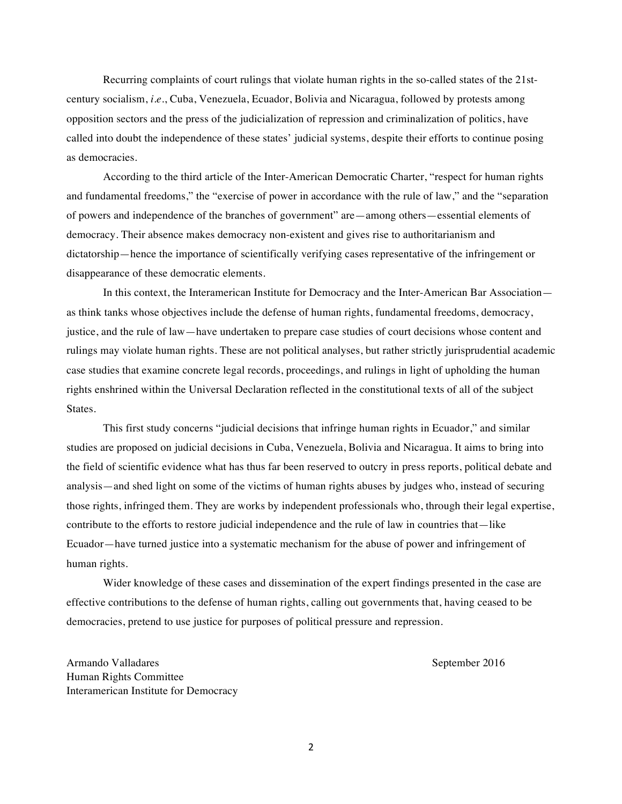Recurring complaints of court rulings that violate human rights in the so-called states of the 21stcentury socialism, *i.e.*, Cuba, Venezuela, Ecuador, Bolivia and Nicaragua, followed by protests among opposition sectors and the press of the judicialization of repression and criminalization of politics, have called into doubt the independence of these states' judicial systems, despite their efforts to continue posing as democracies.

According to the third article of the Inter-American Democratic Charter, "respect for human rights and fundamental freedoms," the "exercise of power in accordance with the rule of law," and the "separation of powers and independence of the branches of government" are—among others—essential elements of democracy. Their absence makes democracy non-existent and gives rise to authoritarianism and dictatorship—hence the importance of scientifically verifying cases representative of the infringement or disappearance of these democratic elements.

In this context, the Interamerican Institute for Democracy and the Inter-American Bar Association as think tanks whose objectives include the defense of human rights, fundamental freedoms, democracy, justice, and the rule of law—have undertaken to prepare case studies of court decisions whose content and rulings may violate human rights. These are not political analyses, but rather strictly jurisprudential academic case studies that examine concrete legal records, proceedings, and rulings in light of upholding the human rights enshrined within the Universal Declaration reflected in the constitutional texts of all of the subject States.

This first study concerns "judicial decisions that infringe human rights in Ecuador," and similar studies are proposed on judicial decisions in Cuba, Venezuela, Bolivia and Nicaragua. It aims to bring into the field of scientific evidence what has thus far been reserved to outcry in press reports, political debate and analysis—and shed light on some of the victims of human rights abuses by judges who, instead of securing those rights, infringed them. They are works by independent professionals who, through their legal expertise, contribute to the efforts to restore judicial independence and the rule of law in countries that—like Ecuador—have turned justice into a systematic mechanism for the abuse of power and infringement of human rights.

Wider knowledge of these cases and dissemination of the expert findings presented in the case are effective contributions to the defense of human rights, calling out governments that, having ceased to be democracies, pretend to use justice for purposes of political pressure and repression.

Armando Valladares **September 2016** September 2016 Human Rights Committee Interamerican Institute for Democracy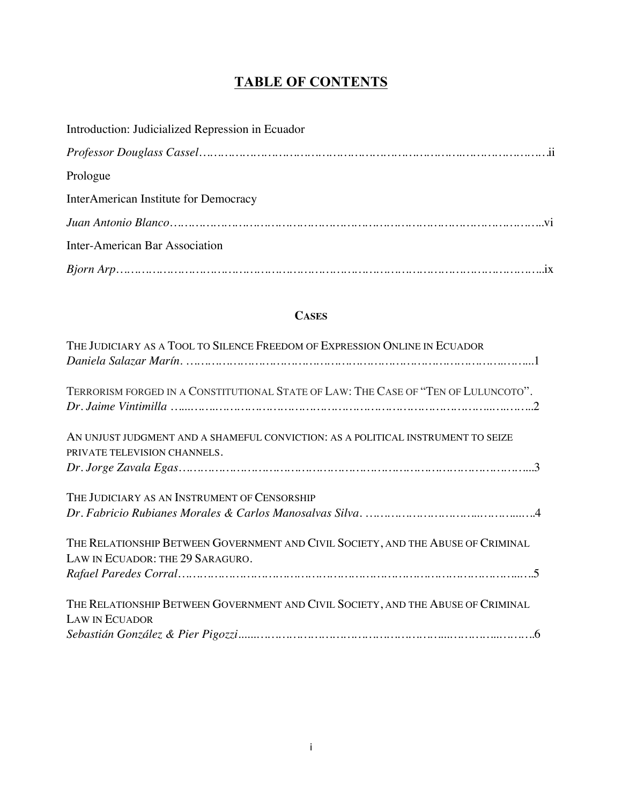## **TABLE OF CONTENTS**

| Introduction: Judicialized Repression in Ecuador |
|--------------------------------------------------|
|                                                  |
| Prologue                                         |
| InterAmerican Institute for Democracy            |
|                                                  |
| Inter-American Bar Association                   |
|                                                  |

## **CASES**

| THE JUDICIARY AS A TOOL TO SILENCE FREEDOM OF EXPRESSION ONLINE IN ECUADOR                                           |
|----------------------------------------------------------------------------------------------------------------------|
|                                                                                                                      |
| TERRORISM FORGED IN A CONSTITUTIONAL STATE OF LAW: THE CASE OF "TEN OF LULUNCOTO".                                   |
| AN UNJUST JUDGMENT AND A SHAMEFUL CONVICTION: AS A POLITICAL INSTRUMENT TO SEIZE<br>PRIVATE TELEVISION CHANNELS.     |
|                                                                                                                      |
| THE JUDICIARY AS AN INSTRUMENT OF CENSORSHIP                                                                         |
|                                                                                                                      |
| THE RELATIONSHIP BETWEEN GOVERNMENT AND CIVIL SOCIETY, AND THE ABUSE OF CRIMINAL<br>LAW IN ECUADOR: THE 29 SARAGURO. |
|                                                                                                                      |
| THE RELATIONSHIP BETWEEN GOVERNMENT AND CIVIL SOCIETY, AND THE ABUSE OF CRIMINAL<br><b>LAW IN ECUADOR</b>            |
|                                                                                                                      |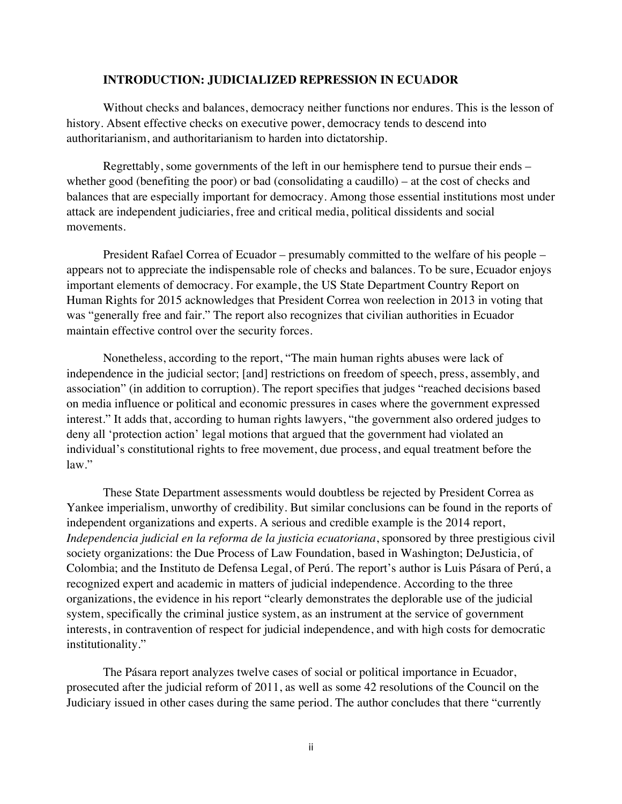#### **INTRODUCTION: JUDICIALIZED REPRESSION IN ECUADOR**

Without checks and balances, democracy neither functions nor endures. This is the lesson of history. Absent effective checks on executive power, democracy tends to descend into authoritarianism, and authoritarianism to harden into dictatorship.

Regrettably, some governments of the left in our hemisphere tend to pursue their ends – whether good (benefiting the poor) or bad (consolidating a caudillo) – at the cost of checks and balances that are especially important for democracy. Among those essential institutions most under attack are independent judiciaries, free and critical media, political dissidents and social movements.

President Rafael Correa of Ecuador – presumably committed to the welfare of his people – appears not to appreciate the indispensable role of checks and balances. To be sure, Ecuador enjoys important elements of democracy. For example, the US State Department Country Report on Human Rights for 2015 acknowledges that President Correa won reelection in 2013 in voting that was "generally free and fair." The report also recognizes that civilian authorities in Ecuador maintain effective control over the security forces.

Nonetheless, according to the report, "The main human rights abuses were lack of independence in the judicial sector; [and] restrictions on freedom of speech, press, assembly, and association" (in addition to corruption). The report specifies that judges "reached decisions based on media influence or political and economic pressures in cases where the government expressed interest." It adds that, according to human rights lawyers, "the government also ordered judges to deny all 'protection action' legal motions that argued that the government had violated an individual's constitutional rights to free movement, due process, and equal treatment before the law."

These State Department assessments would doubtless be rejected by President Correa as Yankee imperialism, unworthy of credibility. But similar conclusions can be found in the reports of independent organizations and experts. A serious and credible example is the 2014 report, *Independencia judicial en la reforma de la justicia ecuatoriana*, sponsored by three prestigious civil society organizations: the Due Process of Law Foundation, based in Washington; DeJusticia, of Colombia; and the Instituto de Defensa Legal, of Perú. The report's author is Luis Pásara of Perú, a recognized expert and academic in matters of judicial independence. According to the three organizations, the evidence in his report "clearly demonstrates the deplorable use of the judicial system, specifically the criminal justice system, as an instrument at the service of government interests, in contravention of respect for judicial independence, and with high costs for democratic institutionality."

The Pásara report analyzes twelve cases of social or political importance in Ecuador, prosecuted after the judicial reform of 2011, as well as some 42 resolutions of the Council on the Judiciary issued in other cases during the same period. The author concludes that there "currently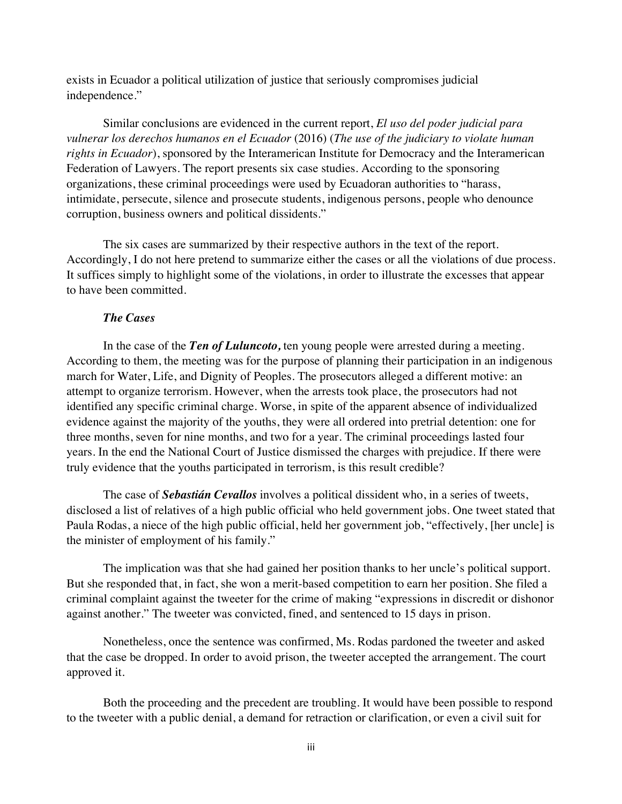exists in Ecuador a political utilization of justice that seriously compromises judicial independence."

Similar conclusions are evidenced in the current report, *El uso del poder judicial para vulnerar los derechos humanos en el Ecuador* (2016) (*The use of the judiciary to violate human rights in Ecuador*), sponsored by the Interamerican Institute for Democracy and the Interamerican Federation of Lawyers. The report presents six case studies. According to the sponsoring organizations, these criminal proceedings were used by Ecuadoran authorities to "harass, intimidate, persecute, silence and prosecute students, indigenous persons, people who denounce corruption, business owners and political dissidents."

The six cases are summarized by their respective authors in the text of the report. Accordingly, I do not here pretend to summarize either the cases or all the violations of due process. It suffices simply to highlight some of the violations, in order to illustrate the excesses that appear to have been committed.

### *The Cases*

In the case of the *Ten of Luluncoto,* ten young people were arrested during a meeting. According to them, the meeting was for the purpose of planning their participation in an indigenous march for Water, Life, and Dignity of Peoples. The prosecutors alleged a different motive: an attempt to organize terrorism. However, when the arrests took place, the prosecutors had not identified any specific criminal charge. Worse, in spite of the apparent absence of individualized evidence against the majority of the youths, they were all ordered into pretrial detention: one for three months, seven for nine months, and two for a year. The criminal proceedings lasted four years. In the end the National Court of Justice dismissed the charges with prejudice. If there were truly evidence that the youths participated in terrorism, is this result credible?

The case of *Sebastián Cevallos* involves a political dissident who, in a series of tweets, disclosed a list of relatives of a high public official who held government jobs. One tweet stated that Paula Rodas, a niece of the high public official, held her government job, "effectively, [her uncle] is the minister of employment of his family."

The implication was that she had gained her position thanks to her uncle's political support. But she responded that, in fact, she won a merit-based competition to earn her position. She filed a criminal complaint against the tweeter for the crime of making "expressions in discredit or dishonor against another." The tweeter was convicted, fined, and sentenced to 15 days in prison.

Nonetheless, once the sentence was confirmed, Ms. Rodas pardoned the tweeter and asked that the case be dropped. In order to avoid prison, the tweeter accepted the arrangement. The court approved it.

Both the proceeding and the precedent are troubling. It would have been possible to respond to the tweeter with a public denial, a demand for retraction or clarification, or even a civil suit for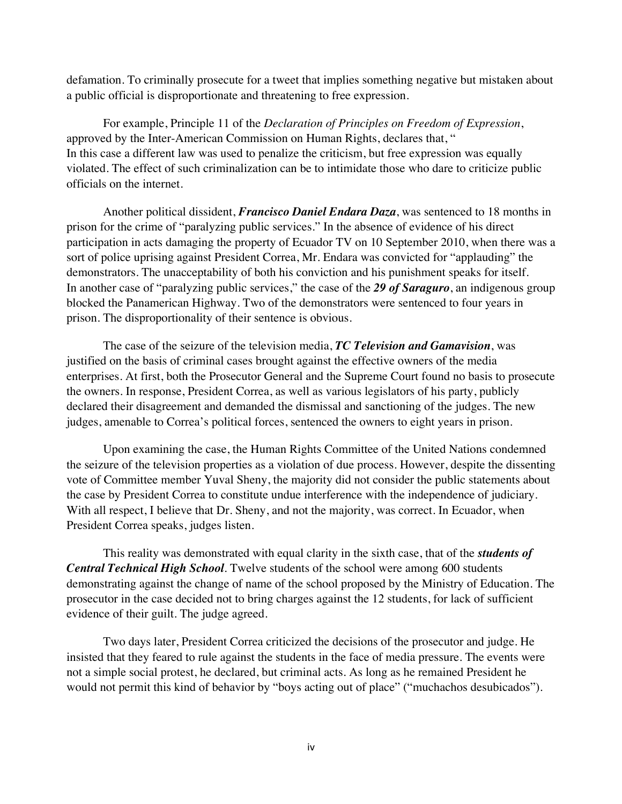defamation. To criminally prosecute for a tweet that implies something negative but mistaken about a public official is disproportionate and threatening to free expression.

For example, Principle 11 of the *Declaration of Principles on Freedom of Expression*, approved by the Inter-American Commission on Human Rights, declares that, " In this case a different law was used to penalize the criticism, but free expression was equally violated. The effect of such criminalization can be to intimidate those who dare to criticize public officials on the internet.

Another political dissident, *Francisco Daniel Endara Daza*, was sentenced to 18 months in prison for the crime of "paralyzing public services." In the absence of evidence of his direct participation in acts damaging the property of Ecuador TV on 10 September 2010, when there was a sort of police uprising against President Correa, Mr. Endara was convicted for "applauding" the demonstrators. The unacceptability of both his conviction and his punishment speaks for itself. In another case of "paralyzing public services," the case of the *29 of Saraguro*, an indigenous group blocked the Panamerican Highway. Two of the demonstrators were sentenced to four years in prison. The disproportionality of their sentence is obvious.

The case of the seizure of the television media, *TC Television and Gamavision*, was justified on the basis of criminal cases brought against the effective owners of the media enterprises. At first, both the Prosecutor General and the Supreme Court found no basis to prosecute the owners. In response, President Correa, as well as various legislators of his party, publicly declared their disagreement and demanded the dismissal and sanctioning of the judges. The new judges, amenable to Correa's political forces, sentenced the owners to eight years in prison.

Upon examining the case, the Human Rights Committee of the United Nations condemned the seizure of the television properties as a violation of due process. However, despite the dissenting vote of Committee member Yuval Sheny, the majority did not consider the public statements about the case by President Correa to constitute undue interference with the independence of judiciary. With all respect, I believe that Dr. Sheny, and not the majority, was correct. In Ecuador, when President Correa speaks, judges listen.

This reality was demonstrated with equal clarity in the sixth case, that of the *students of Central Technical High School*. Twelve students of the school were among 600 students demonstrating against the change of name of the school proposed by the Ministry of Education. The prosecutor in the case decided not to bring charges against the 12 students, for lack of sufficient evidence of their guilt. The judge agreed.

Two days later, President Correa criticized the decisions of the prosecutor and judge. He insisted that they feared to rule against the students in the face of media pressure. The events were not a simple social protest, he declared, but criminal acts. As long as he remained President he would not permit this kind of behavior by "boys acting out of place" ("muchachos desubicados").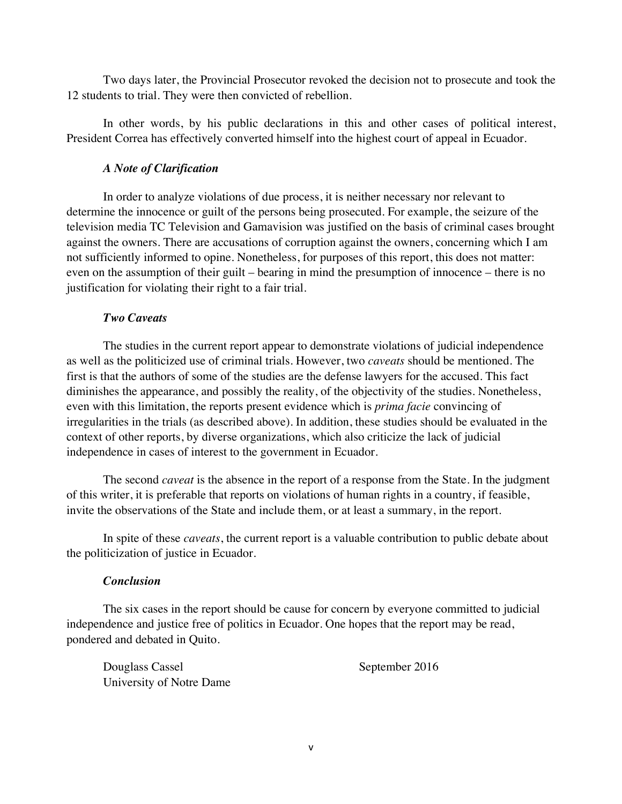Two days later, the Provincial Prosecutor revoked the decision not to prosecute and took the 12 students to trial. They were then convicted of rebellion.

In other words, by his public declarations in this and other cases of political interest, President Correa has effectively converted himself into the highest court of appeal in Ecuador.

### *A Note of Clarification*

In order to analyze violations of due process, it is neither necessary nor relevant to determine the innocence or guilt of the persons being prosecuted. For example, the seizure of the television media TC Television and Gamavision was justified on the basis of criminal cases brought against the owners. There are accusations of corruption against the owners, concerning which I am not sufficiently informed to opine. Nonetheless, for purposes of this report, this does not matter: even on the assumption of their guilt – bearing in mind the presumption of innocence – there is no justification for violating their right to a fair trial.

### *Two Caveats*

The studies in the current report appear to demonstrate violations of judicial independence as well as the politicized use of criminal trials. However, two *caveats* should be mentioned. The first is that the authors of some of the studies are the defense lawyers for the accused. This fact diminishes the appearance, and possibly the reality, of the objectivity of the studies. Nonetheless, even with this limitation, the reports present evidence which is *prima facie* convincing of irregularities in the trials (as described above). In addition, these studies should be evaluated in the context of other reports, by diverse organizations, which also criticize the lack of judicial independence in cases of interest to the government in Ecuador.

The second *caveat* is the absence in the report of a response from the State. In the judgment of this writer, it is preferable that reports on violations of human rights in a country, if feasible, invite the observations of the State and include them, or at least a summary, in the report.

In spite of these *caveats*, the current report is a valuable contribution to public debate about the politicization of justice in Ecuador.

### *Conclusion*

The six cases in the report should be cause for concern by everyone committed to judicial independence and justice free of politics in Ecuador. One hopes that the report may be read, pondered and debated in Quito.

Douglass Cassel September 2016 University of Notre Dame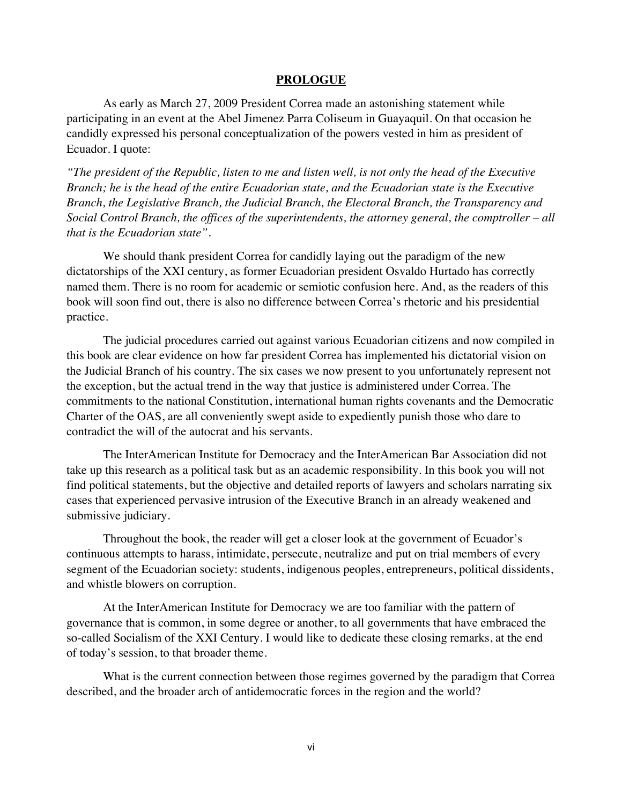#### **PROLOGUE**

As early as March 27, 2009 President Correa made an astonishing statement while participating in an event at the Abel Jimenez Parra Coliseum in Guayaquil. On that occasion he candidly expressed his personal conceptualization of the powers vested in him as president of Ecuador. I quote:

*"The president of the Republic, listen to me and listen well, is not only the head of the Executive Branch; he is the head of the entire Ecuadorian state, and the Ecuadorian state is the Executive Branch, the Legislative Branch, the Judicial Branch, the Electoral Branch, the Transparency and Social Control Branch, the offices of the superintendents, the attorney general, the comptroller – all that is the Ecuadorian state".* 

We should thank president Correa for candidly laying out the paradigm of the new dictatorships of the XXI century, as former Ecuadorian president Osvaldo Hurtado has correctly named them. There is no room for academic or semiotic confusion here. And, as the readers of this book will soon find out, there is also no difference between Correa's rhetoric and his presidential practice.

The judicial procedures carried out against various Ecuadorian citizens and now compiled in this book are clear evidence on how far president Correa has implemented his dictatorial vision on the Judicial Branch of his country. The six cases we now present to you unfortunately represent not the exception, but the actual trend in the way that justice is administered under Correa. The commitments to the national Constitution, international human rights covenants and the Democratic Charter of the OAS, are all conveniently swept aside to expediently punish those who dare to contradict the will of the autocrat and his servants.

The InterAmerican Institute for Democracy and the InterAmerican Bar Association did not take up this research as a political task but as an academic responsibility. In this book you will not find political statements, but the objective and detailed reports of lawyers and scholars narrating six cases that experienced pervasive intrusion of the Executive Branch in an already weakened and submissive judiciary.

Throughout the book, the reader will get a closer look at the government of Ecuador's continuous attempts to harass, intimidate, persecute, neutralize and put on trial members of every segment of the Ecuadorian society: students, indigenous peoples, entrepreneurs, political dissidents, and whistle blowers on corruption.

At the InterAmerican Institute for Democracy we are too familiar with the pattern of governance that is common, in some degree or another, to all governments that have embraced the so-called Socialism of the XXI Century. I would like to dedicate these closing remarks, at the end of today's session, to that broader theme.

What is the current connection between those regimes governed by the paradigm that Correa described, and the broader arch of antidemocratic forces in the region and the world?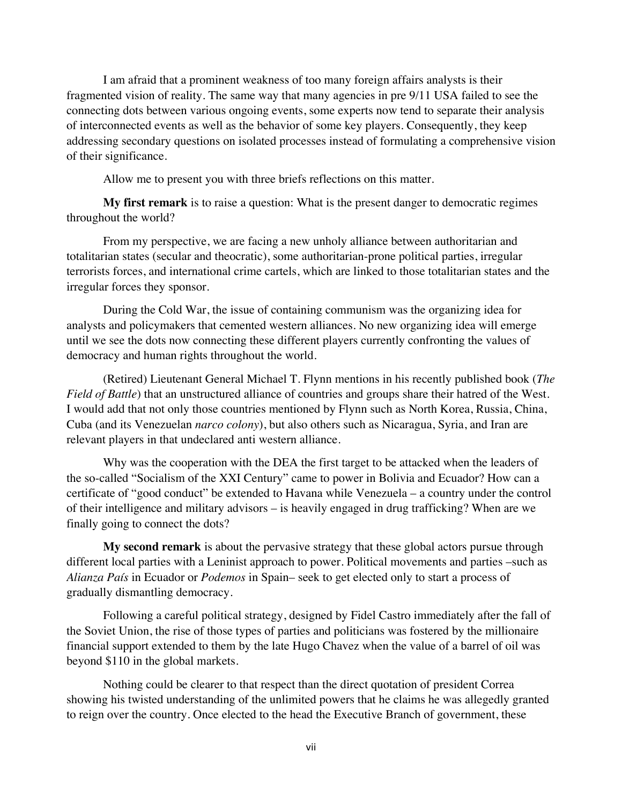I am afraid that a prominent weakness of too many foreign affairs analysts is their fragmented vision of reality. The same way that many agencies in pre 9/11 USA failed to see the connecting dots between various ongoing events, some experts now tend to separate their analysis of interconnected events as well as the behavior of some key players. Consequently, they keep addressing secondary questions on isolated processes instead of formulating a comprehensive vision of their significance.

Allow me to present you with three briefs reflections on this matter.

**My first remark** is to raise a question: What is the present danger to democratic regimes throughout the world?

From my perspective, we are facing a new unholy alliance between authoritarian and totalitarian states (secular and theocratic), some authoritarian-prone political parties, irregular terrorists forces, and international crime cartels, which are linked to those totalitarian states and the irregular forces they sponsor.

During the Cold War, the issue of containing communism was the organizing idea for analysts and policymakers that cemented western alliances. No new organizing idea will emerge until we see the dots now connecting these different players currently confronting the values of democracy and human rights throughout the world.

(Retired) Lieutenant General Michael T. Flynn mentions in his recently published book (*The Field of Battle*) that an unstructured alliance of countries and groups share their hatred of the West. I would add that not only those countries mentioned by Flynn such as North Korea, Russia, China, Cuba (and its Venezuelan *narco colony*), but also others such as Nicaragua, Syria, and Iran are relevant players in that undeclared anti western alliance.

Why was the cooperation with the DEA the first target to be attacked when the leaders of the so-called "Socialism of the XXI Century" came to power in Bolivia and Ecuador? How can a certificate of "good conduct" be extended to Havana while Venezuela – a country under the control of their intelligence and military advisors – is heavily engaged in drug trafficking? When are we finally going to connect the dots?

**My second remark** is about the pervasive strategy that these global actors pursue through different local parties with a Leninist approach to power. Political movements and parties –such as *Alianza País* in Ecuador or *Podemos* in Spain– seek to get elected only to start a process of gradually dismantling democracy.

Following a careful political strategy, designed by Fidel Castro immediately after the fall of the Soviet Union, the rise of those types of parties and politicians was fostered by the millionaire financial support extended to them by the late Hugo Chavez when the value of a barrel of oil was beyond \$110 in the global markets.

Nothing could be clearer to that respect than the direct quotation of president Correa showing his twisted understanding of the unlimited powers that he claims he was allegedly granted to reign over the country. Once elected to the head the Executive Branch of government, these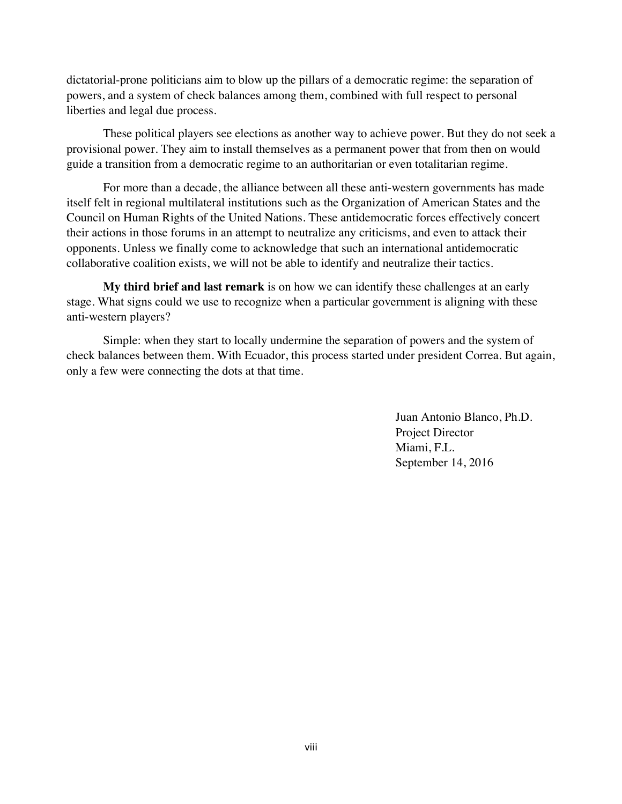dictatorial-prone politicians aim to blow up the pillars of a democratic regime: the separation of powers, and a system of check balances among them, combined with full respect to personal liberties and legal due process.

These political players see elections as another way to achieve power. But they do not seek a provisional power. They aim to install themselves as a permanent power that from then on would guide a transition from a democratic regime to an authoritarian or even totalitarian regime.

For more than a decade, the alliance between all these anti-western governments has made itself felt in regional multilateral institutions such as the Organization of American States and the Council on Human Rights of the United Nations. These antidemocratic forces effectively concert their actions in those forums in an attempt to neutralize any criticisms, and even to attack their opponents. Unless we finally come to acknowledge that such an international antidemocratic collaborative coalition exists, we will not be able to identify and neutralize their tactics.

**My third brief and last remark** is on how we can identify these challenges at an early stage. What signs could we use to recognize when a particular government is aligning with these anti-western players?

Simple: when they start to locally undermine the separation of powers and the system of check balances between them. With Ecuador, this process started under president Correa. But again, only a few were connecting the dots at that time.

> Juan Antonio Blanco, Ph.D. Project Director Miami, F.L. September 14, 2016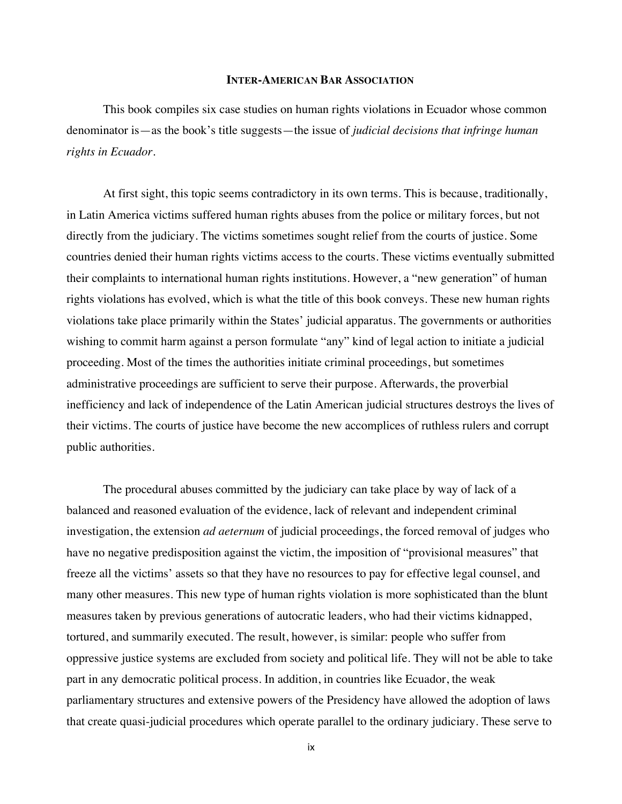#### **INTER-AMERICAN BAR ASSOCIATION**

This book compiles six case studies on human rights violations in Ecuador whose common denominator is—as the book's title suggests—the issue of *judicial decisions that infringe human rights in Ecuador*.

At first sight, this topic seems contradictory in its own terms. This is because, traditionally, in Latin America victims suffered human rights abuses from the police or military forces, but not directly from the judiciary. The victims sometimes sought relief from the courts of justice. Some countries denied their human rights victims access to the courts. These victims eventually submitted their complaints to international human rights institutions. However, a "new generation" of human rights violations has evolved, which is what the title of this book conveys. These new human rights violations take place primarily within the States' judicial apparatus. The governments or authorities wishing to commit harm against a person formulate "any" kind of legal action to initiate a judicial proceeding. Most of the times the authorities initiate criminal proceedings, but sometimes administrative proceedings are sufficient to serve their purpose. Afterwards, the proverbial inefficiency and lack of independence of the Latin American judicial structures destroys the lives of their victims. The courts of justice have become the new accomplices of ruthless rulers and corrupt public authorities.

The procedural abuses committed by the judiciary can take place by way of lack of a balanced and reasoned evaluation of the evidence, lack of relevant and independent criminal investigation, the extension *ad aeternum* of judicial proceedings, the forced removal of judges who have no negative predisposition against the victim, the imposition of "provisional measures" that freeze all the victims' assets so that they have no resources to pay for effective legal counsel, and many other measures. This new type of human rights violation is more sophisticated than the blunt measures taken by previous generations of autocratic leaders, who had their victims kidnapped, tortured, and summarily executed. The result, however, is similar: people who suffer from oppressive justice systems are excluded from society and political life. They will not be able to take part in any democratic political process. In addition, in countries like Ecuador, the weak parliamentary structures and extensive powers of the Presidency have allowed the adoption of laws that create quasi-judicial procedures which operate parallel to the ordinary judiciary. These serve to

ix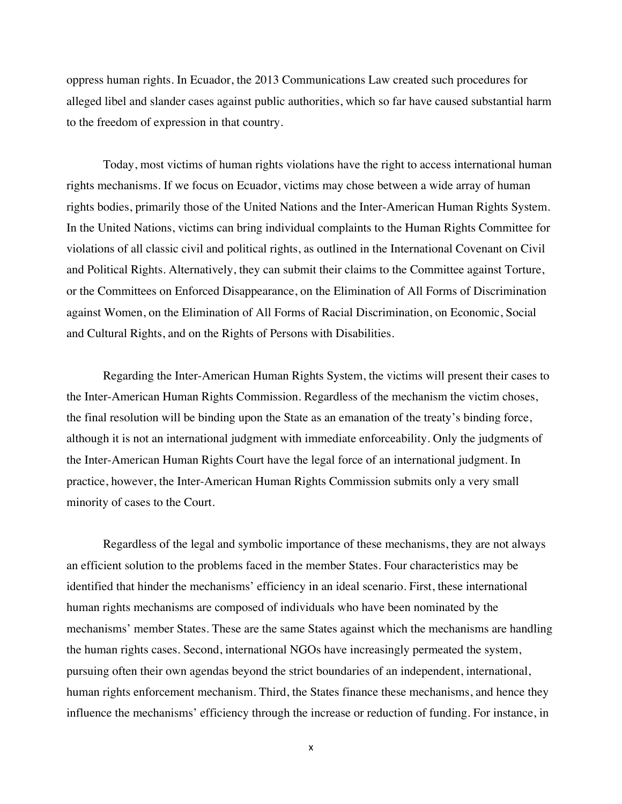oppress human rights. In Ecuador, the 2013 Communications Law created such procedures for alleged libel and slander cases against public authorities, which so far have caused substantial harm to the freedom of expression in that country.

Today, most victims of human rights violations have the right to access international human rights mechanisms. If we focus on Ecuador, victims may chose between a wide array of human rights bodies, primarily those of the United Nations and the Inter-American Human Rights System. In the United Nations, victims can bring individual complaints to the Human Rights Committee for violations of all classic civil and political rights, as outlined in the International Covenant on Civil and Political Rights. Alternatively, they can submit their claims to the Committee against Torture, or the Committees on Enforced Disappearance, on the Elimination of All Forms of Discrimination against Women, on the Elimination of All Forms of Racial Discrimination, on Economic, Social and Cultural Rights, and on the Rights of Persons with Disabilities.

Regarding the Inter-American Human Rights System, the victims will present their cases to the Inter-American Human Rights Commission. Regardless of the mechanism the victim choses, the final resolution will be binding upon the State as an emanation of the treaty's binding force, although it is not an international judgment with immediate enforceability. Only the judgments of the Inter-American Human Rights Court have the legal force of an international judgment. In practice, however, the Inter-American Human Rights Commission submits only a very small minority of cases to the Court.

Regardless of the legal and symbolic importance of these mechanisms, they are not always an efficient solution to the problems faced in the member States. Four characteristics may be identified that hinder the mechanisms' efficiency in an ideal scenario. First, these international human rights mechanisms are composed of individuals who have been nominated by the mechanisms' member States. These are the same States against which the mechanisms are handling the human rights cases. Second, international NGOs have increasingly permeated the system, pursuing often their own agendas beyond the strict boundaries of an independent, international, human rights enforcement mechanism. Third, the States finance these mechanisms, and hence they influence the mechanisms' efficiency through the increase or reduction of funding. For instance, in

x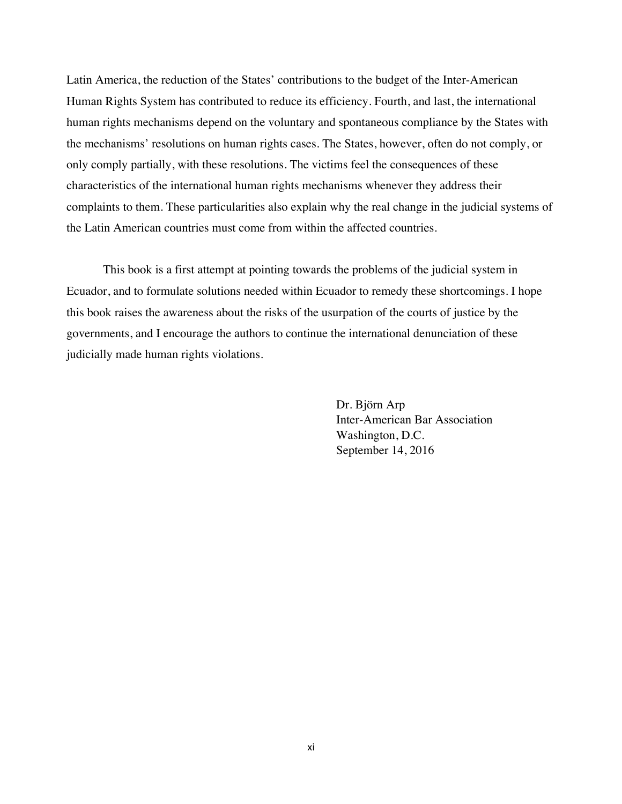Latin America, the reduction of the States' contributions to the budget of the Inter-American Human Rights System has contributed to reduce its efficiency. Fourth, and last, the international human rights mechanisms depend on the voluntary and spontaneous compliance by the States with the mechanisms' resolutions on human rights cases. The States, however, often do not comply, or only comply partially, with these resolutions. The victims feel the consequences of these characteristics of the international human rights mechanisms whenever they address their complaints to them. These particularities also explain why the real change in the judicial systems of the Latin American countries must come from within the affected countries.

This book is a first attempt at pointing towards the problems of the judicial system in Ecuador, and to formulate solutions needed within Ecuador to remedy these shortcomings. I hope this book raises the awareness about the risks of the usurpation of the courts of justice by the governments, and I encourage the authors to continue the international denunciation of these judicially made human rights violations.

> Dr. Björn Arp Inter-American Bar Association Washington, D.C. September 14, 2016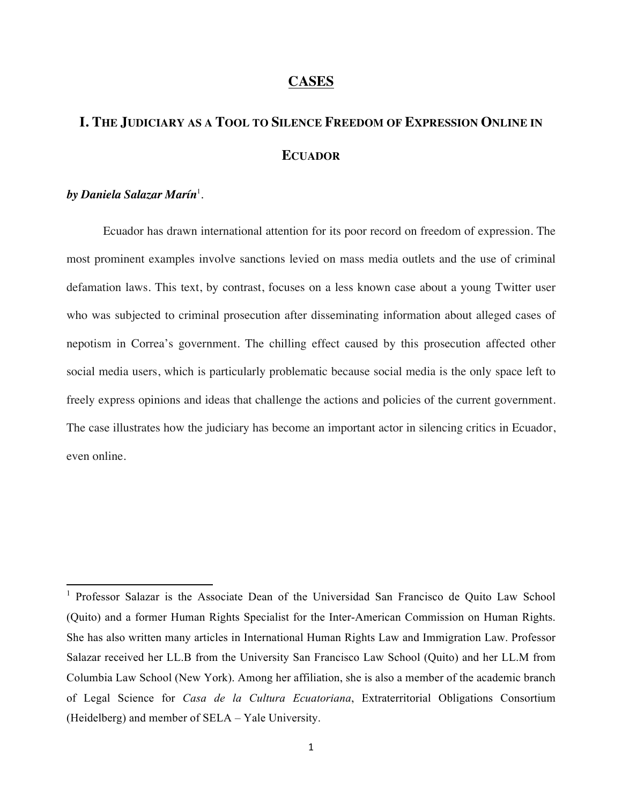### **CASES**

# **I. THE JUDICIARY AS A TOOL TO SILENCE FREEDOM OF EXPRESSION ONLINE IN ECUADOR**

### *by Daniela Salazar Marín*<sup>1</sup> .

Ecuador has drawn international attention for its poor record on freedom of expression. The most prominent examples involve sanctions levied on mass media outlets and the use of criminal defamation laws. This text, by contrast, focuses on a less known case about a young Twitter user who was subjected to criminal prosecution after disseminating information about alleged cases of nepotism in Correa's government. The chilling effect caused by this prosecution affected other social media users, which is particularly problematic because social media is the only space left to freely express opinions and ideas that challenge the actions and policies of the current government. The case illustrates how the judiciary has become an important actor in silencing critics in Ecuador, even online.

<sup>&</sup>lt;u> 1989 - Jan Samuel Barbara, margaret e</u> <sup>1</sup> Professor Salazar is the Associate Dean of the Universidad San Francisco de Quito Law School (Quito) and a former Human Rights Specialist for the Inter-American Commission on Human Rights. She has also written many articles in International Human Rights Law and Immigration Law. Professor Salazar received her LL.B from the University San Francisco Law School (Quito) and her LL.M from Columbia Law School (New York). Among her affiliation, she is also a member of the academic branch of Legal Science for *Casa de la Cultura Ecuatoriana*, Extraterritorial Obligations Consortium (Heidelberg) and member of SELA – Yale University.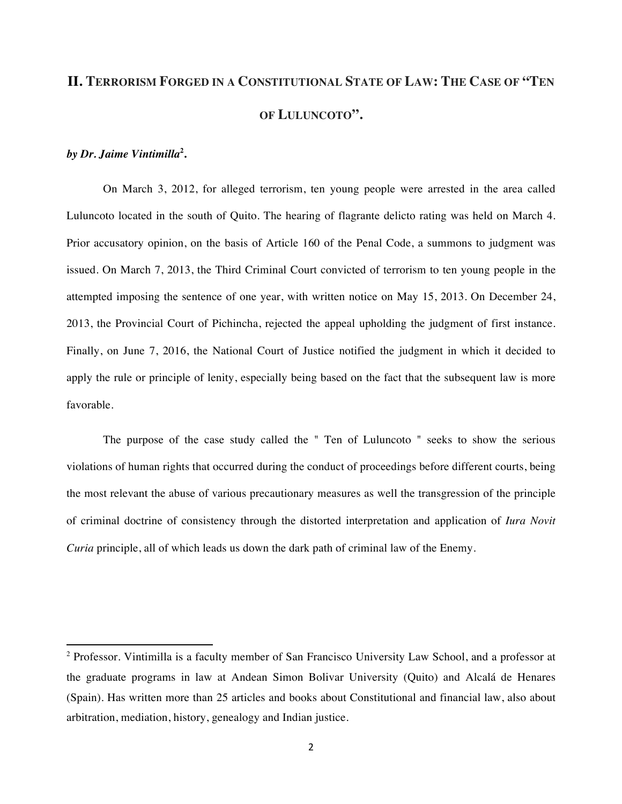# **II. TERRORISM FORGED IN A CONSTITUTIONAL STATE OF LAW: THE CASE OF "TEN OF LULUNCOTO".**

#### *by Dr. Jaime Vintimilla***<sup>2</sup> .**

<u> 1989 - Jan Samuel Barbara, margaret e</u>

On March 3, 2012, for alleged terrorism, ten young people were arrested in the area called Luluncoto located in the south of Quito. The hearing of flagrante delicto rating was held on March 4. Prior accusatory opinion, on the basis of Article 160 of the Penal Code, a summons to judgment was issued. On March 7, 2013, the Third Criminal Court convicted of terrorism to ten young people in the attempted imposing the sentence of one year, with written notice on May 15, 2013. On December 24, 2013, the Provincial Court of Pichincha, rejected the appeal upholding the judgment of first instance. Finally, on June 7, 2016, the National Court of Justice notified the judgment in which it decided to apply the rule or principle of lenity, especially being based on the fact that the subsequent law is more favorable.

The purpose of the case study called the " Ten of Luluncoto " seeks to show the serious violations of human rights that occurred during the conduct of proceedings before different courts, being the most relevant the abuse of various precautionary measures as well the transgression of the principle of criminal doctrine of consistency through the distorted interpretation and application of *Iura Novit Curia* principle, all of which leads us down the dark path of criminal law of the Enemy.

<sup>2</sup> Professor. Vintimilla is a faculty member of San Francisco University Law School, and a professor at the graduate programs in law at Andean Simon Bolivar University (Quito) and Alcalá de Henares (Spain). Has written more than 25 articles and books about Constitutional and financial law, also about arbitration, mediation, history, genealogy and Indian justice.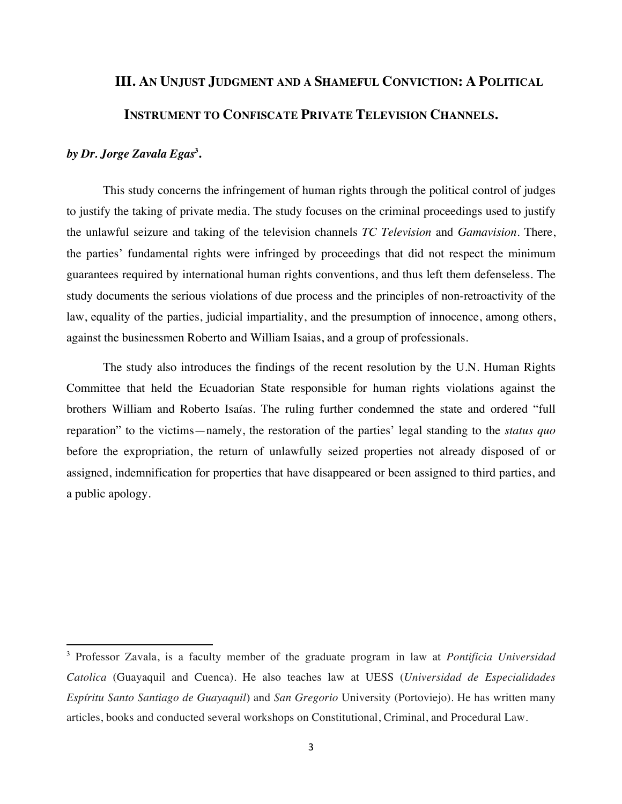# **III. AN UNJUST JUDGMENT AND A SHAMEFUL CONVICTION: A POLITICAL INSTRUMENT TO CONFISCATE PRIVATE TELEVISION CHANNELS.**

### *by Dr. Jorge Zavala Egas***<sup>3</sup> .**

<u> 1989 - Jan Samuel Barbara, margaret e</u>

This study concerns the infringement of human rights through the political control of judges to justify the taking of private media. The study focuses on the criminal proceedings used to justify the unlawful seizure and taking of the television channels *TC Television* and *Gamavision*. There, the parties' fundamental rights were infringed by proceedings that did not respect the minimum guarantees required by international human rights conventions, and thus left them defenseless. The study documents the serious violations of due process and the principles of non-retroactivity of the law, equality of the parties, judicial impartiality, and the presumption of innocence, among others, against the businessmen Roberto and William Isaias, and a group of professionals.

The study also introduces the findings of the recent resolution by the U.N. Human Rights Committee that held the Ecuadorian State responsible for human rights violations against the brothers William and Roberto Isaías. The ruling further condemned the state and ordered "full reparation" to the victims—namely, the restoration of the parties' legal standing to the *status quo*  before the expropriation, the return of unlawfully seized properties not already disposed of or assigned, indemnification for properties that have disappeared or been assigned to third parties, and a public apology.

<sup>3</sup> Professor Zavala, is a faculty member of the graduate program in law at *Pontificia Universidad Catolica* (Guayaquil and Cuenca). He also teaches law at UESS (*Universidad de Especialidades Espíritu Santo Santiago de Guayaquil*) and *San Gregorio* University (Portoviejo). He has written many articles, books and conducted several workshops on Constitutional, Criminal, and Procedural Law.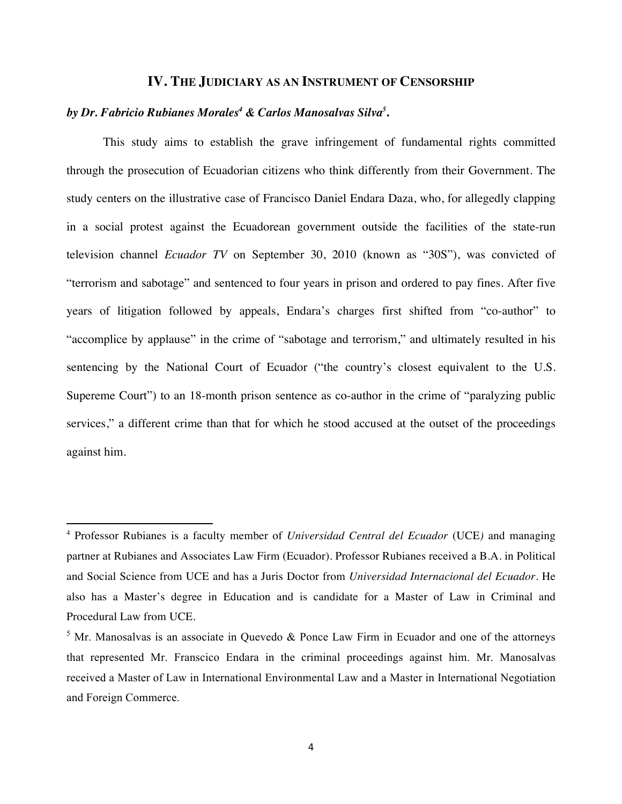#### **IV. THE JUDICIARY AS AN INSTRUMENT OF CENSORSHIP**

### *by Dr. Fabricio Rubianes Morales4 & Carlos Manosalvas Silva<sup>5</sup>* **.**

<u> 1989 - Jan Samuel Barbara, margaret e</u>

This study aims to establish the grave infringement of fundamental rights committed through the prosecution of Ecuadorian citizens who think differently from their Government. The study centers on the illustrative case of Francisco Daniel Endara Daza, who, for allegedly clapping in a social protest against the Ecuadorean government outside the facilities of the state-run television channel *Ecuador TV* on September 30, 2010 (known as "30S"), was convicted of "terrorism and sabotage" and sentenced to four years in prison and ordered to pay fines. After five years of litigation followed by appeals, Endara's charges first shifted from "co-author" to "accomplice by applause" in the crime of "sabotage and terrorism," and ultimately resulted in his sentencing by the National Court of Ecuador ("the country's closest equivalent to the U.S. Supereme Court") to an 18-month prison sentence as co-author in the crime of "paralyzing public services," a different crime than that for which he stood accused at the outset of the proceedings against him.

<sup>4</sup> Professor Rubianes is a faculty member of *Universidad Central del Ecuador* (UCE*)* and managing partner at Rubianes and Associates Law Firm (Ecuador). Professor Rubianes received a B.A. in Political and Social Science from UCE and has a Juris Doctor from *Universidad Internacional del Ecuador*. He also has a Master's degree in Education and is candidate for a Master of Law in Criminal and Procedural Law from UCE.

 $5$  Mr. Manosalvas is an associate in Quevedo & Ponce Law Firm in Ecuador and one of the attorneys that represented Mr. Franscico Endara in the criminal proceedings against him. Mr. Manosalvas received a Master of Law in International Environmental Law and a Master in International Negotiation and Foreign Commerce.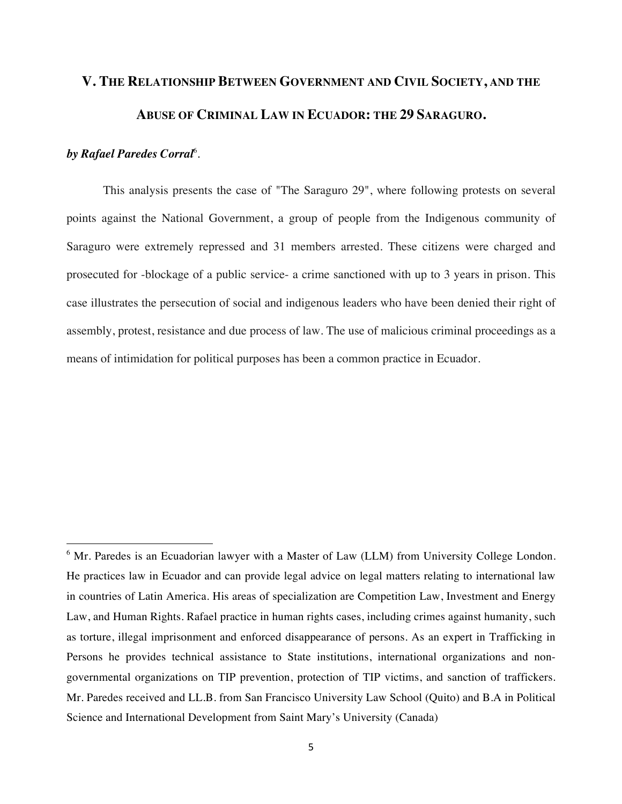# **V. THE RELATIONSHIP BETWEEN GOVERNMENT AND CIVIL SOCIETY, AND THE ABUSE OF CRIMINAL LAW IN ECUADOR: THE 29 SARAGURO.**

### *by Rafael Paredes Corral*<sup>6</sup> .

<u> 1989 - Jan Samuel Barbara, margaret e</u>

This analysis presents the case of "The Saraguro 29", where following protests on several points against the National Government, a group of people from the Indigenous community of Saraguro were extremely repressed and 31 members arrested. These citizens were charged and prosecuted for -blockage of a public service- a crime sanctioned with up to 3 years in prison. This case illustrates the persecution of social and indigenous leaders who have been denied their right of assembly, protest, resistance and due process of law. The use of malicious criminal proceedings as a means of intimidation for political purposes has been a common practice in Ecuador.

<sup>&</sup>lt;sup>6</sup> Mr. Paredes is an Ecuadorian lawyer with a Master of Law (LLM) from University College London. He practices law in Ecuador and can provide legal advice on legal matters relating to international law in countries of Latin America. His areas of specialization are Competition Law, Investment and Energy Law, and Human Rights. Rafael practice in human rights cases, including crimes against humanity, such as torture, illegal imprisonment and enforced disappearance of persons. As an expert in Trafficking in Persons he provides technical assistance to State institutions, international organizations and nongovernmental organizations on TIP prevention, protection of TIP victims, and sanction of traffickers. Mr. Paredes received and LL.B. from San Francisco University Law School (Quito) and B.A in Political Science and International Development from Saint Mary's University (Canada)